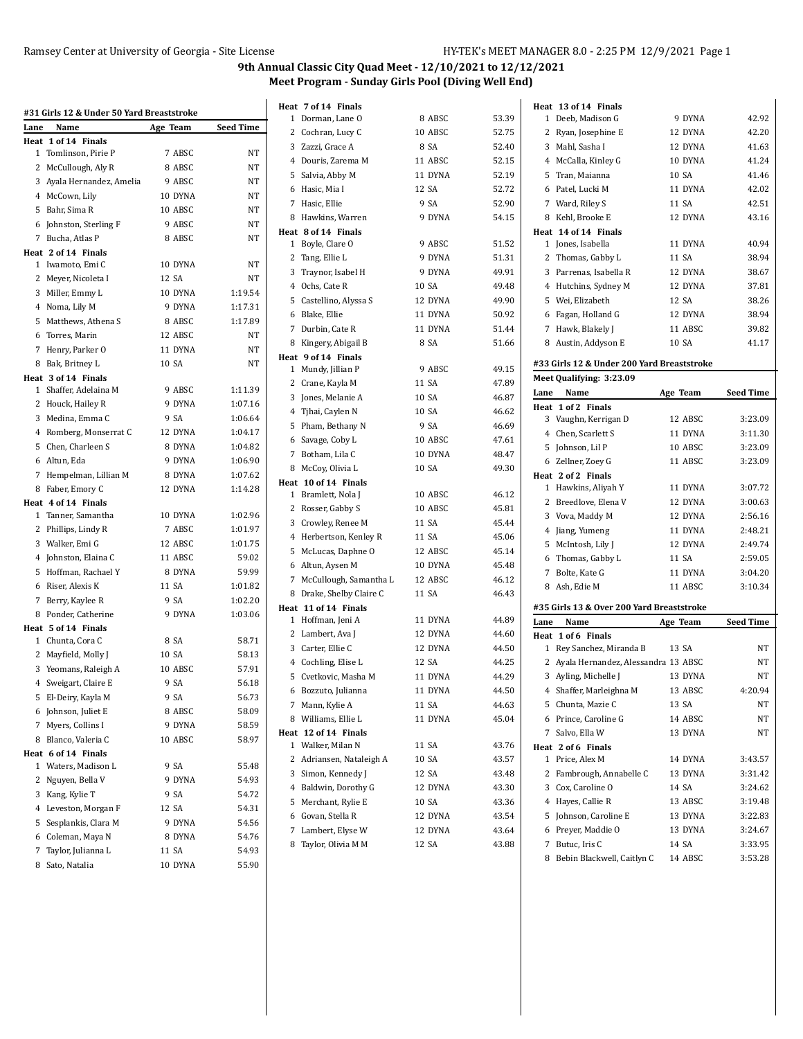$52.40$  $52.15$  $52.19$ 52.72 52.90  $54.15$ 

49.91 49.48 49.90  $50.92\,$ 51.44  $51.66\,$ 

 $49.15$ 47.89 46.87  $46.62$  $46.69$  $47.61$ 48.47  $49.30$ 

 $46.12$  $45.81$ 45.44

45.48  $46.12$  $46.43$ 

44.89  $44.60$  $44.50$ 

44.29

 $44.63\,$ 45.04

43.76 43.57 43.48  $43.30\,$ 43.36 43.54 43.64 43.88

|                | #31 Girls 12 & Under 50 Yard Breaststroke |          |                  |
|----------------|-------------------------------------------|----------|------------------|
| Lane           | Name                                      | Age Team | <b>Seed Time</b> |
| Heat           | 1 of 14 Finals                            |          |                  |
| 1              | Tomlinson, Pirie P                        | 7 ABSC   | NT               |
|                | 2 McCullough, Aly R                       | 8 ABSC   | <b>NT</b>        |
|                | 3 Ayala Hernandez, Amelia                 | 9 ABSC   | NT               |
|                | 4 McCown, Lily                            | 10 DYNA  | NT               |
|                | 5 Bahr, Sima R                            | 10 ABSC  | NT               |
|                | 6 Johnston, Sterling F                    | 9 ABSC   | NT               |
|                | 7 Bucha, Atlas P                          | 8 ABSC   | <b>NT</b>        |
|                | Heat 2 of 14 Finals                       |          |                  |
|                | 1 Iwamoto, Emi C                          | 10 DYNA  | <b>NT</b>        |
|                | 2 Meyer, Nicoleta I                       | 12 SA    | NT               |
|                | 3 Miller, Emmy L                          | 10 DYNA  | 1:19.54          |
|                | 4 Noma, Lily M                            | 9 DYNA   | 1:17.31          |
|                | 5 Matthews, Athena S                      | 8 ABSC   | 1:17.89          |
|                | 6 Torres, Marin                           | 12 ABSC  | NT               |
|                | 7 Henry, Parker O                         | 11 DYNA  | NT               |
|                | 8 Bak, Britney L                          | 10 SA    | NT               |
|                | Heat 3 of 14 Finals                       |          |                  |
|                | 1 Shaffer, Adelaina M                     | 9 ABSC   | 1:11.39          |
|                | 2 Houck, Hailey R                         | 9 DYNA   | 1:07.16          |
|                | 3 Medina, Emma C                          | 9 SA     | 1:06.64          |
|                | 4 Romberg, Monserrat C                    | 12 DYNA  | 1:04.17          |
|                | 5 Chen, Charleen S                        | 8 DYNA   | 1:04.82          |
|                | 6 Altun, Eda                              | 9 DYNA   | 1:06.90          |
|                | 7 Hempelman, Lillian M                    | 8 DYNA   | 1:07.62          |
| 8              | Faber, Emory C                            | 12 DYNA  | 1:14.28          |
|                | Heat 4 of 14 Finals                       |          |                  |
|                | 1 Tanner, Samantha                        | 10 DYNA  | 1:02.96          |
|                | 2 Phillips, Lindy R                       | 7 ABSC   | 1:01.97          |
|                | 3 Walker, Emi G                           | 12 ABSC  | 1:01.75          |
|                | 4 Johnston, Elaina C                      | 11 ABSC  | 59.02            |
|                | 5 Hoffman, Rachael Y                      | 8 DYNA   | 59.99            |
|                | 6 Riser, Alexis K                         | 11 SA    | 1:01.82          |
|                | 7 Berry, Kaylee R                         | 9 SA     | 1:02.20          |
|                | 8 Ponder, Catherine                       | 9 DYNA   | 1:03.06          |
|                | Heat 5 of 14 Finals                       |          |                  |
|                | 1 Chunta, Cora C                          | 8 SA     | 58.71            |
|                | 2 Mayfield, Molly J                       | 10 SA    | 58.13            |
|                | 3 Yeomans, Raleigh A                      | 10 ABSC  | 57.91            |
|                | 4 Sweigart, Claire E                      | 9 SA     | 56.18            |
| 5              |                                           | 9 SA     | 56.73            |
| 6              | El-Deiry, Kayla M<br>Johnson, Juliet E    |          | 58.09            |
|                |                                           | 8 ABSC   |                  |
| 7              | Myers, Collins I                          | 9 DYNA   | 58.59            |
| 8              | Blanco, Valeria C                         | 10 ABSC  | 58.97            |
|                | Heat 6 of 14 Finals                       |          |                  |
| 1              | Waters, Madison L                         | 9 SA     | 55.48            |
| 2              | Nguyen, Bella V                           | 9 DYNA   | 54.93            |
| 3              | Kang, Kylie T                             | 9 SA     | 54.72            |
| $\overline{4}$ | Leveston, Morgan F                        | 12 SA    | 54.31            |
| 5              | Sesplankis, Clara M                       | 9 DYNA   | 54.56            |
|                | 6 Coleman, Maya N                         | 8 DYNA   | 54.76            |
| 7              | Taylor, Julianna L                        | 11 SA    | 54.93            |
| 8              | Sato, Natalia                             | 10 DYNA  | 55.90            |

| Heat 7 of 14 Finals                        |                    |                |
|--------------------------------------------|--------------------|----------------|
| 1 Dorman, Lane O                           | 8 ABSC             | 53.39          |
| 2 Cochran, Lucy C                          | 10 ABSC            | 52.75          |
| 3 Zazzi, Grace A                           | 8 SA               | 52.40          |
| 4 Douris, Zarema M                         | 11 ABSC            | 52.15          |
| 5 Salvia, Abby M                           | 11 DYNA            | 52.19          |
| 6 Hasic, Mia I                             | 12 SA              | 52.72          |
| 7 Hasic, Ellie                             | 9 SA               | 52.90          |
| 8 Hawkins, Warren                          | 9 DYNA             | 54.15          |
| Heat 8 of 14 Finals                        |                    |                |
| 1 Boyle, Clare O                           | 9 ABSC             | 51.52          |
| 2 Tang, Ellie L                            | 9 DYNA             | 51.31          |
| 3 Traynor, Isabel H                        | 9 DYNA             | 49.91          |
| 4 Ochs, Cate R                             | 10 SA              | 49.48          |
| 5 Castellino, Alyssa S                     | 12 DYNA            | 49.90          |
| 6 Blake, Ellie                             | 11 DYNA            | 50.92          |
| 7 Durbin, Cate R                           | 11 DYNA            | 51.44          |
| 8 Kingery, Abigail B                       | 8 SA               | 51.66          |
| Heat 9 of 14 Finals                        |                    |                |
| 1 Mundy, Jillian P                         | 9 ABSC             | 49.15          |
| 2 Crane, Kayla M                           | 11 SA              | 47.89          |
| 3 Jones, Melanie A                         | 10 SA              | 46.87          |
| 4 Tjhai, Caylen N                          | 10 SA              | 46.62          |
| 5<br>Pham, Bethany N                       | 9 SA               | 46.69          |
| 6 Savage, Coby L                           | 10 ABSC<br>10 DYNA | 47.61          |
| 7 Botham, Lila C                           |                    | 48.47<br>49.30 |
| 8 McCoy, Olivia L                          | 10 SA              |                |
| Heat 10 of 14 Finals<br>1 Bramlett, Nola J | 10 ABSC            | 46.12          |
| 2 Rosser, Gabby S                          | 10 ABSC            | 45.81          |
| 3 Crowley, Renee M                         | 11 SA              | 45.44          |
| 4 Herbertson, Kenley R                     | 11 SA              | 45.06          |
| 5 McLucas, Daphne O                        | 12 ABSC            | 45.14          |
| 6 Altun, Aysen M                           | 10 DYNA            | 45.48          |
| 7<br>McCullough, Samantha L                | 12 ABSC            | 46.12          |
| 8 Drake, Shelby Claire C                   | 11 SA              | 46.43          |
| Heat 11 of 14 Finals                       |                    |                |
| 1 Hoffman, Jeni A                          | 11 DYNA            | 44.89          |
| 2 Lambert, Ava J                           | 12 DYNA            | 44.60          |
| 3 Carter, Ellie C                          | 12 DYNA            | 44.50          |
| 4 Cochling, Elise L                        | 12 SA              | 44.25          |
| 5 Cvetkovic, Masha M                       | 11 DYNA            | 44.29          |
| 6 Bozzuto, Julianna                        | 11 DYNA            | 44.50          |
| 7 Mann, Kylie A                            | 11 SA              | 44.63          |
| 8 Williams, Ellie L                        | 11 DYNA            | 45.04          |
| Heat 12 of 14 Finals                       |                    |                |
| 1 Walker, Milan N                          | 11 SA              | 43.76          |
| 2 Adriansen, Nataleigh A                   | 10 SA              | 43.57          |
| 3 Simon, Kennedy J                         | 12 SA              | 43.48          |
| 4 Baldwin, Dorothy G                       | 12 DYNA            | 43.30          |
| 5 Merchant, Rylie E                        | 10 SA              | 43.36          |
| 6 Govan, Stella R                          | 12 DYNA            | 43.54          |
| 7 Lambert, Elyse W                         | 12 DYNA            | 43.64          |
| 8 Tavlor. Olivia M M                       | 12 SA              | 43.88          |

|      | Heat 13 of 14 Finals                            |                  |                    |
|------|-------------------------------------------------|------------------|--------------------|
|      | 1 Deeb, Madison G                               | 9 DYNA           | 42.92              |
|      | 2 Ryan, Josephine E                             | 12 DYNA          | 42.20              |
|      | 3 Mahl, Sasha I                                 | 12 DYNA          | 41.63              |
|      | 4 McCalla, Kinley G                             | 10 DYNA          | 41.24              |
|      | 5 Tran, Maianna                                 | 10 SA            | 41.46              |
|      | 6 Patel. Lucki M                                | 11 DYNA          | 42.02              |
|      | 7 Ward, Riley S                                 | 11 SA            | 42.51              |
|      | 8 Kehl, Brooke E                                | 12 DYNA          | 43.16              |
|      | Heat 14 of 14 Finals                            |                  |                    |
|      | 1 Jones, Isabella                               | 11 DYNA          | 40.94              |
|      | 2 Thomas, Gabby L                               | 11 SA            | 38.94              |
|      | 3 Parrenas, Isabella R                          | 12 DYNA          | 38.67              |
|      | 4 Hutchins, Sydney M                            | 12 DYNA          | 37.81              |
|      | 5 Wei, Elizabeth                                | 12 SA            | 38.26              |
|      | 6 Fagan, Holland G                              | 12 DYNA          | 38.94              |
|      | 7 Hawk, Blakely J                               | 11 ABSC          | 39.82              |
|      | 8 Austin, Addyson E                             | 10 SA            | 41.17              |
|      | #33 Girls 12 & Under 200 Yard Breaststroke      |                  |                    |
|      | Meet Qualifying: 3:23.09                        |                  |                    |
| Lane | Name                                            | Age Team         | Seed Time          |
|      | Heat 1 of 2 Finals                              |                  |                    |
|      | 3 Vaughn, Kerrigan D                            | 12 ABSC          | 3:23.09            |
|      | 4 Chen, Scarlett S                              | 11 DYNA          | 3:11.30            |
|      | 5 Johnson, Lil P                                | 10 ABSC          | 3:23.09            |
|      | 6 Zellner, Zoey G                               | 11 ABSC          | 3:23.09            |
|      | Heat 2 of 2 Finals                              |                  |                    |
|      | 1 Hawkins, Aliyah Y                             | 11 DYNA          | 3:07.72            |
|      | 2 Breedlove, Elena V                            | 12 DYNA          | 3:00.63            |
|      | 3 Vova, Maddy M                                 | 12 DYNA          | 2:56.16            |
|      | 4 Jiang, Yumeng                                 | 11 DYNA          | 2:48.21            |
|      | 5 McIntosh, Lily J                              | 12 DYNA          | 2:49.74            |
|      | 6 Thomas, Gabby L                               | 11 SA            | 2:59.05            |
|      | 7 Bolte, Kate G                                 | 11 DYNA          | 3:04.20            |
|      | 8 Ash, Edie M                                   | 11 ABSC          | 3:10.34            |
|      | #35 Girls 13 & Over 200 Yard Breaststroke       |                  |                    |
| Lane | Name                                            | Age Team         | <b>Seed Time</b>   |
|      | Heat 1 of 6 Finals                              |                  |                    |
|      | 1 Rey Sanchez, Miranda B                        | 13 SA            | NT                 |
|      | 2 Ayala Hernandez, Alessandra 13 ABSC           |                  | NT                 |
|      | 3 Ayling, Michelle J                            | 13 DYNA          | <b>NT</b>          |
|      | 4 Shaffer, Marleighna M                         | 13 ABSC          | 4:20.94            |
|      | 5 Chunta, Mazie C                               | 13 SA            | NT                 |
|      | 6 Prince, Caroline G                            | 14 ABSC          | NΤ                 |
|      | 7 Salvo, Ella W                                 | 13 DYNA          | NΤ                 |
|      | Heat 2 of 6 Finals                              |                  |                    |
|      | 1 Price, Alex M                                 | 14 DYNA          | 3:43.57            |
|      | 2 Fambrough, Annabelle C                        | 13 DYNA          | 3:31.42            |
|      | 3 Cox, Caroline O                               | 14 SA            | 3:24.62            |
|      | 4 Hayes, Callie R                               | 13 ABSC          | 3:19.48            |
|      | 5 Johnson, Caroline E                           | 13 DYNA          | 3:22.83            |
|      | 6 Preyer, Maddie O                              | 13 DYNA          | 3:24.67            |
|      |                                                 |                  |                    |
|      | 7 Butuc, Iris C<br>8 Bebin Blackwell, Caitlyn C | 14 SA<br>14 ABSC | 3:33.95<br>3:53.28 |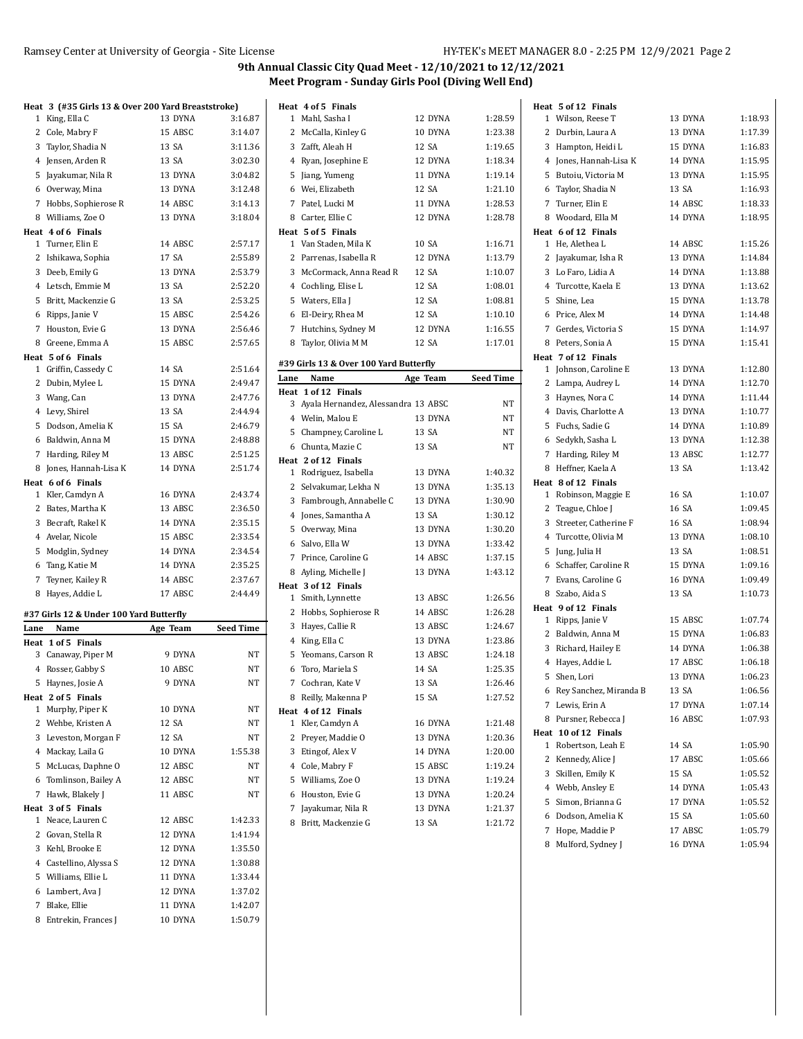|      | Heat 3 (#35 Girls 13 & Over 200 Yard Breaststroke) |                  |                  |
|------|----------------------------------------------------|------------------|------------------|
| 1    | King, Ella C                                       | 13 DYNA          | 3:16.87          |
|      | 2 Cole, Mabry F                                    | 15 ABSC          | 3:14.07          |
|      | 3 Taylor, Shadia N                                 | 13 SA            | 3:11.36          |
|      | 4 Jensen, Arden R                                  | 13 SA            | 3:02.30          |
|      | 5 Jayakumar, Nila R                                | 13 DYNA          | 3:04.82          |
|      | 6 Overway, Mina                                    | 13 DYNA          | 3:12.48          |
|      | 7 Hobbs, Sophierose R                              | 14 ABSC          | 3:14.13          |
|      | 8 Williams, Zoe O                                  | 13 DYNA          | 3:18.04          |
|      | Heat 4 of 6 Finals                                 |                  |                  |
|      | 1 Turner, Elin E                                   | 14 ABSC          | 2:57.17          |
|      | 2 Ishikawa, Sophia                                 | 17 SA            | 2:55.89          |
|      | 3 Deeb, Emily G                                    | 13 DYNA          | 2:53.79          |
|      | 4 Letsch, Emmie M                                  | 13 SA            | 2:52.20          |
|      | 5 Britt, Mackenzie G                               | 13 SA            | 2:53.25          |
|      | 6 Ripps, Janie V                                   | 15 ABSC          | 2:54.26          |
| 7    | Houston, Evie G                                    | 13 DYNA          | 2:56.46          |
|      | 8 Greene, Emma A                                   | 15 ABSC          | 2:57.65          |
|      | Heat 5 of 6 Finals                                 |                  |                  |
|      | 1 Griffin, Cassedy C                               | 14 SA            | 2:51.64          |
|      | 2 Dubin, Mylee L                                   | 15 DYNA          | 2:49.47          |
|      | 3 Wang, Can                                        | 13 DYNA          | 2:47.76          |
|      | 4 Levy, Shirel                                     | 13 SA            | 2:44.94          |
|      | 5 Dodson, Amelia K                                 | 15 SA            | 2:46.79          |
|      | 6 Baldwin, Anna M                                  | 15 DYNA          | 2:48.88          |
|      | 7 Harding, Riley M                                 | 13 ABSC          | 2:51.25          |
| 8    | Jones, Hannah-Lisa K                               | 14 DYNA          | 2:51.74          |
|      | Heat 6 of 6 Finals                                 |                  |                  |
|      | 1 Kler, Camdyn A                                   | 16 DYNA          | 2:43.74          |
|      | 2 Bates, Martha K                                  | 13 ABSC          | 2:36.50          |
|      |                                                    |                  |                  |
|      | 3 Becraft, Rakel K                                 | 14 DYNA          | 2:35.15          |
|      | 4 Avelar, Nicole                                   | 15 ABSC          | 2:33.54          |
| 5    | Modglin, Sydney                                    | 14 DYNA          | 2:34.54          |
|      | 6 Tang, Katie M                                    | 14 DYNA          | 2:35.25          |
| 7    | Teyner, Kailey R                                   | 14 ABSC          | 2:37.67          |
| 8    | Hayes, Addie L                                     | 17 ABSC          | 2:44.49          |
|      |                                                    |                  |                  |
|      | #37 Girls 12 & Under 100 Yard Butterfly            |                  |                  |
| Lane | Name                                               | Age Team         | <b>Seed Time</b> |
| Heat | 1 of 5 Finals                                      |                  |                  |
|      | 3 Canaway, Piper M                                 | 9 DYNA           | NT               |
|      | 4 Rosser, Gabby S                                  | 10 ABSC          | NT               |
|      | 5 Haynes, Josie A                                  | 9 DYNA           | NΤ               |
| 1    | Heat 2 of 5 Finals<br>Murphy, Piper K              | 10 DYNA          | NΤ               |
| 2    |                                                    | 12 SA            | NT               |
|      | Wehbe, Kristen A                                   |                  | NΤ               |
|      | 3 Leveston, Morgan F<br>4 Mackay, Laila G          | 12 SA<br>10 DYNA | 1:55.38          |
|      |                                                    | 12 ABSC          | NT               |
|      | 5 McLucas, Daphne O                                | 12 ABSC          |                  |
| 7    | 6 Tomlinson, Bailey A                              | 11 ABSC          | NT<br>NT         |
|      | Hawk, Blakely J<br>Heat 3 of 5 Finals              |                  |                  |
| 1    | Neace, Lauren C                                    | 12 ABSC          | 1:42.33          |
|      | 2 Govan, Stella R                                  | 12 DYNA          | 1:41.94          |
|      | 3 Kehl, Brooke E                                   | 12 DYNA          | 1:35.50          |
|      | 4 Castellino, Alyssa S                             | 12 DYNA          | 1:30.88          |
|      | 5 Williams, Ellie L                                | 11 DYNA          | 1:33.44          |
|      | 6 Lambert, Ava J                                   | 12 DYNA          | 1:37.02          |
|      | 7 Blake, Ellie                                     | 11 DYNA          | 1:42.07          |

|                     | Heat 4 of 5 Finals                      |                    |                    |
|---------------------|-----------------------------------------|--------------------|--------------------|
| 1                   | Mahl, Sasha I                           | 12 DYNA            | 1:28.59            |
|                     | 2 McCalla, Kinley G                     | 10 DYNA            | 1:23.38            |
|                     | 3 Zafft, Aleah H                        | 12 SA              | 1:19.65            |
|                     | 4 Ryan, Josephine E                     | 12 DYNA            | 1:18.34            |
|                     | 5 Jiang, Yumeng                         | 11 DYNA            | 1:19.14            |
|                     | 6 Wei, Elizabeth                        | 12 SA              | 1:21.10            |
|                     | 7 Patel, Lucki M                        | 11 DYNA            | 1:28.53            |
|                     | 8 Carter, Ellie C                       | 12 DYNA            | 1:28.78            |
|                     | Heat 5 of 5 Finals                      |                    |                    |
|                     | 1 Van Staden, Mila K                    | 10 SA              | 1:16.71            |
|                     | 2 Parrenas, Isabella R                  | 12 DYNA            | 1:13.79            |
| 3                   | McCormack, Anna Read R                  | 12 SA              | 1:10.07            |
|                     | 4 Cochling, Elise L                     | 12 SA              | 1:08.01            |
|                     | 5 Waters, Ella J                        | 12 SA              | 1:08.81            |
|                     | 6 El-Deiry, Rhea M                      | 12 SA              | 1:10.10            |
|                     | 7 Hutchins, Sydney M                    | 12 DYNA            | 1:16.55            |
|                     | 8 Taylor, Olivia M M                    | 12 SA              | 1:17.01            |
|                     | #39 Girls 13 & Over 100 Yard Butterfly  |                    |                    |
| Lane                | Name                                    | Age Team           | <b>Seed Time</b>   |
|                     | Heat 1 of 12 Finals                     |                    |                    |
|                     | 3 Ayala Hernandez, Alessandra 13 ABSC   |                    | NΤ                 |
|                     | 4 Welin, Malou E                        | 13 DYNA            | NΤ                 |
|                     | 5 Champney, Caroline L                  | 13 SA              | NΤ                 |
|                     | 6 Chunta, Mazie C                       | 13 SA              | NΤ                 |
|                     | Heat 2 of 12 Finals                     |                    |                    |
| 1                   | Rodriguez, Isabella                     | 13 DYNA            | 1:40.32            |
|                     | 2 Selvakumar, Lekha N                   | 13 DYNA            | 1:35.13            |
|                     | 3 Fambrough, Annabelle C                | 13 DYNA            | 1:30.90            |
|                     | 4 Jones, Samantha A                     | 13 SA              | 1:30.12            |
|                     | 5 Overway, Mina                         | 13 DYNA            | 1:30.20            |
|                     | 6 Salvo, Ella W                         | 13 DYNA            | 1:33.42            |
|                     | 7 Prince, Caroline G                    | 14 ABSC            | 1:37.15            |
| 8                   | Ayling, Michelle J                      | 13 DYNA            | 1:43.12            |
|                     | Heat 3 of 12 Finals                     |                    |                    |
|                     | 1 Smith, Lynnette                       | 13 ABSC            | 1:26.56            |
|                     | 2 Hobbs, Sophierose R                   | 14 ABSC            | 1:26.28            |
|                     | 3 Hayes, Callie R                       | 13 ABSC            | 1:24.67            |
|                     | 4 King, Ella C                          | 13 DYNA            | 1:23.86            |
|                     | 5 Yeomans, Carson R                     | 13 ABSC            | 1:24.18            |
|                     | 6 Toro, Mariela S                       | 14 SA              | 1:25.35            |
| 7                   | Cochran, Kate V                         | 13 SA              | 1:26.46            |
| 8                   | Reilly, Makenna P                       | 15 SA              | 1:27.52            |
|                     | Heat 4 of 12 Finals<br>Kler, Camdyn A   | 16 DYNA            |                    |
| 1                   |                                         |                    | 1:21.48            |
| 2<br>3              | Preyer, Maddie O                        | 13 DYNA<br>14 DYNA | 1:20.36<br>1:20.00 |
|                     | Etingof, Alex V                         |                    |                    |
| $\overline{4}$<br>5 | Cole, Mabry F                           | 15 ABSC            | 1:19.24            |
|                     |                                         |                    |                    |
|                     | Williams, Zoe O                         | 13 DYNA            | 1:19.24            |
| 6                   | Houston, Evie G                         | 13 DYNA            | 1:20.24            |
| 7<br>8              | Jayakumar, Nila R<br>Britt, Mackenzie G | 13 DYNA<br>13 SA   | 1:21.37<br>1:21.72 |

| Heat 5 of 12 Finals                            |                    |                    |
|------------------------------------------------|--------------------|--------------------|
| Wilson, Reese T<br>$\mathbf{1}$                | 13 DYNA            | 1:18.93            |
| $\overline{2}$<br>Durbin, Laura A              | 13 DYNA            | 1:17.39            |
| 3<br>Hampton, Heidi L                          | 15 DYNA            | 1:16.83            |
| 4 Jones, Hannah-Lisa K                         | 14 DYNA            | 1:15.95            |
| 5<br>Butoiu, Victoria M                        | 13 DYNA            | 1:15.95            |
| Taylor, Shadia N<br>6                          | 13 SA              | 1:16.93            |
| 7<br>Turner, Elin E                            | 14 ABSC            | 1:18.33            |
| 8 Woodard, Ella M                              | 14 DYNA            | 1:18.95            |
| Heat 6 of 12 Finals                            |                    |                    |
| He, Alethea L<br>$\mathbf{1}$                  | 14 ABSC            | 1:15.26            |
| $\mathbf{2}$<br>Jayakumar, Isha R              | 13 DYNA            | 1:14.84            |
| 3 Lo Faro, Lidia A                             | 14 DYNA            | 1:13.88            |
| 4 Turcotte, Kaela E                            | 13 DYNA            | 1:13.62            |
| 5<br>Shine, Lea                                | 15 DYNA<br>14 DYNA | 1:13.78            |
| 6 Price, Alex M<br>$\overline{7}$              | 15 DYNA            | 1:14.48            |
| Gerdes, Victoria S<br>8 Peters, Sonia A        | 15 DYNA            | 1:14.97<br>1:15.41 |
| Heat 7 of 12 Finals                            |                    |                    |
| Johnson, Caroline E<br>1                       | 13 DYNA            | 1:12.80            |
| 2<br>Lampa, Audrey L                           | 14 DYNA            | 1:12.70            |
| 3<br>Haynes, Nora C                            | 14 DYNA            | 1:11.44            |
| 4 Davis, Charlotte A                           | 13 DYNA            | 1:10.77            |
| 5<br>Fuchs, Sadie G                            | 14 DYNA            | 1:10.89            |
| 6 Sedykh, Sasha L                              | 13 DYNA            | 1:12.38            |
| Harding, Riley M<br>7                          | 13 ABSC            | 1:12.77            |
| 8 Heffner, Kaela A                             | 13 SA              | 1:13.42            |
| Heat 8 of 12 Finals                            |                    |                    |
| Robinson, Maggie E<br>1                        | 16 SA              | 1:10.07            |
| 2<br>Teague, Chloe J                           | 16 SA              | 1:09.45            |
| Streeter, Catherine F<br>3                     | 16 SA              | 1:08.94            |
| Turcotte, Olivia M<br>4                        | 13 DYNA            | 1:08.10            |
| 5<br>Jung, Julia H                             | 13 SA              | 1:08.51            |
| 6 Schaffer, Caroline R                         | 15 DYNA            | 1:09.16            |
| Evans, Caroline G<br>7                         | 16 DYNA            | 1:09.49            |
| 8 Szabo, Aida S                                | 13 SA              | 1:10.73            |
| Heat 9 of 12 Finals                            |                    |                    |
| Ripps, Janie V<br>1                            | 15 ABSC            | 1:07.74            |
| Baldwin, Anna M<br>2                           | 15 DYNA            | 1:06.83            |
| 3 Richard, Hailey E                            | 14 DYNA            | 1:06.38            |
| 4<br>Hayes, Addie L                            | 17 ABSC            | 1:06.18            |
| 5<br>Shen, Lori                                | 13 DYNA            | 1:06.23            |
| Rey Sanchez, Miranda B<br>6                    | 13 SA              | 1:06.56            |
| Lewis, Erin A<br>7                             | 17 DYNA            | 1:07.14            |
| 8 Pursner, Rebecca J                           | 16 ABSC            | 1:07.93            |
| Heat 10 of 12 Finals<br>Robertson, Leah E<br>1 | 14 SA              | 1:05.90            |
| 2<br>Kennedy, Alice J                          | 17 ABSC            | 1:05.66            |
| 3 Skillen, Emily K                             | 15 SA              | 1:05.52            |
| 4 Webb, Ansley E                               | 14 DYNA            | 1:05.43            |
| 5 Simon, Brianna G                             | 17 DYNA            | 1:05.52            |
| 6 Dodson, Amelia K                             | 15 SA              | 1:05.60            |
| Hope, Maddie P<br>7                            | 17 ABSC            | 1:05.79            |
| Mulford, Sydney J                              |                    | 1:05.94            |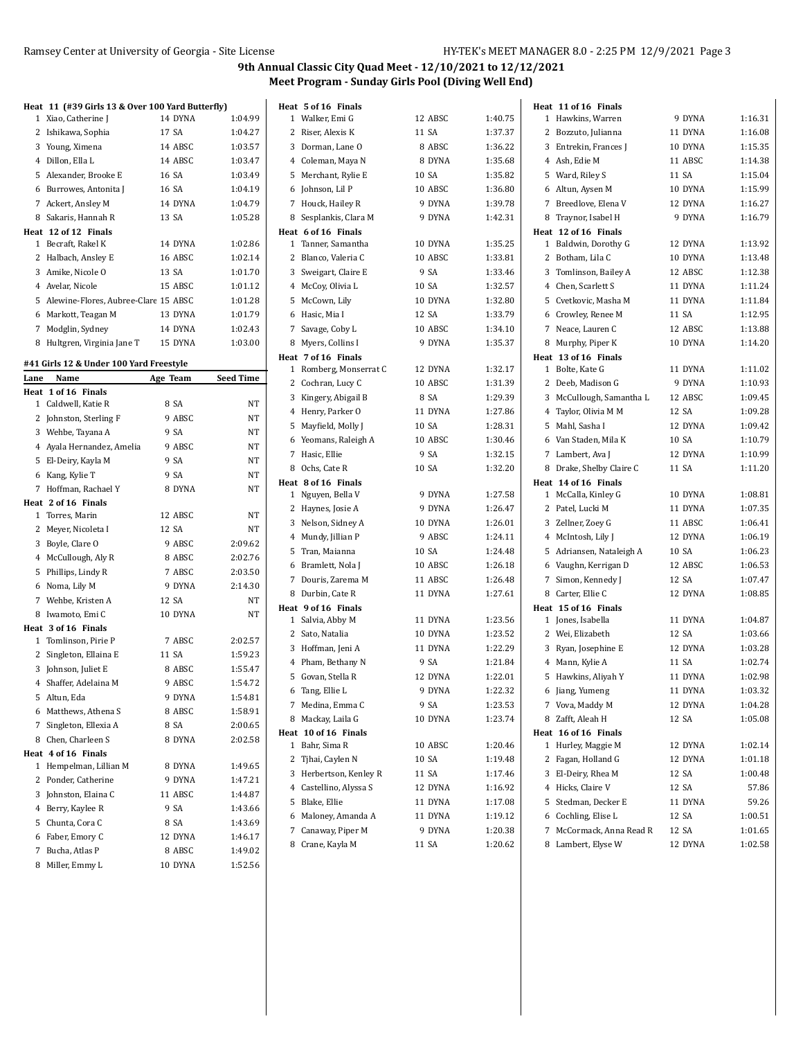|      | Heat 11 (#39 Girls 13 & Over 100 Yard Butterfly) |          |                  | Heat 5 of 16 Finals                   |         |         | Heat 11 of 16 Finals     |         |         |
|------|--------------------------------------------------|----------|------------------|---------------------------------------|---------|---------|--------------------------|---------|---------|
|      | 1 Xiao, Catherine J                              | 14 DYNA  | 1:04.99          | 1 Walker, Emi G                       | 12 ABSC | 1:40.75 | 1 Hawkins, Warren        | 9 DYNA  | 1:16.31 |
|      | 2 Ishikawa, Sophia                               | 17 SA    | 1:04.27          | 2 Riser, Alexis K                     | 11 SA   | 1:37.37 | 2 Bozzuto, Julianna      | 11 DYNA | 1:16.08 |
|      | 3 Young, Ximena                                  | 14 ABSC  | 1:03.57          | 3 Dorman, Lane O                      | 8 ABSC  | 1:36.22 | 3 Entrekin, Frances J    | 10 DYNA | 1:15.35 |
|      | 4 Dillon, Ella L                                 | 14 ABSC  | 1:03.47          | 4 Coleman, Maya N                     | 8 DYNA  | 1:35.68 | 4 Ash, Edie M            | 11 ABSC | 1:14.38 |
|      | 5 Alexander, Brooke E                            | 16 SA    | 1:03.49          | 5 Merchant, Rylie E                   | 10 SA   | 1:35.82 | 5 Ward, Riley S          | 11 SA   | 1:15.04 |
|      | 6 Burrowes, Antonita J                           | 16 SA    | 1:04.19          | 6 Johnson, Lil P                      | 10 ABSC | 1:36.80 | 6 Altun, Aysen M         | 10 DYNA | 1:15.99 |
|      | 7 Ackert, Ansley M                               | 14 DYNA  | 1:04.79          | 7 Houck, Hailey R                     | 9 DYNA  | 1:39.78 | 7 Breedlove, Elena V     | 12 DYNA | 1:16.27 |
|      | 8 Sakaris, Hannah R                              | 13 SA    | 1:05.28          | 8 Sesplankis, Clara M                 | 9 DYNA  | 1:42.31 | 8 Traynor, Isabel H      | 9 DYNA  | 1:16.79 |
|      | Heat 12 of 12 Finals                             |          |                  | Heat 6 of 16 Finals                   |         |         | Heat 12 of 16 Finals     |         |         |
|      | 1 Becraft, Rakel K                               | 14 DYNA  | 1:02.86          | 1 Tanner, Samantha                    | 10 DYNA | 1:35.25 | 1 Baldwin, Dorothy G     | 12 DYNA | 1:13.92 |
|      | 2 Halbach, Ansley E                              | 16 ABSC  | 1:02.14          | 2 Blanco, Valeria C                   | 10 ABSC | 1:33.81 | 2 Botham, Lila C         | 10 DYNA | 1:13.48 |
|      | 3 Amike, Nicole O                                | 13 SA    | 1:01.70          | 3 Sweigart, Claire E                  | 9 SA    | 1:33.46 | 3 Tomlinson, Bailey A    | 12 ABSC | 1:12.38 |
|      | 4 Avelar, Nicole                                 | 15 ABSC  | 1:01.12          | 4 McCoy, Olivia L                     | 10 SA   | 1:32.57 | 4 Chen, Scarlett S       | 11 DYNA | 1:11.24 |
|      | 5 Alewine-Flores, Aubree-Clare 15 ABSC           |          | 1:01.28          | 5 McCown, Lily                        | 10 DYNA | 1:32.80 | 5 Cvetkovic, Masha M     | 11 DYNA | 1:11.84 |
|      | 6 Markott, Teagan M                              | 13 DYNA  | 1:01.79          | 6 Hasic, Mia I                        | 12 SA   | 1:33.79 | 6 Crowley, Renee M       | 11 SA   | 1:12.95 |
|      | 7 Modglin, Sydney                                | 14 DYNA  | 1:02.43          | 7 Savage, Coby L                      | 10 ABSC | 1:34.10 | 7 Neace, Lauren C        | 12 ABSC | 1:13.88 |
|      | 8 Hultgren, Virginia Jane T                      | 15 DYNA  | 1:03.00          | 8 Myers, Collins I                    | 9 DYNA  | 1:35.37 | 8 Murphy, Piper K        | 10 DYNA | 1:14.20 |
|      |                                                  |          |                  | Heat 7 of 16 Finals                   |         |         | Heat 13 of 16 Finals     |         |         |
|      | #41 Girls 12 & Under 100 Yard Freestyle          |          |                  | 1 Romberg, Monserrat C                | 12 DYNA | 1:32.17 | 1 Bolte, Kate G          | 11 DYNA | 1:11.02 |
| Lane | Name                                             | Age Team | <b>Seed Time</b> | 2 Cochran, Lucy C                     | 10 ABSC | 1:31.39 | 2 Deeb, Madison G        | 9 DYNA  | 1:10.93 |
|      | Heat 1 of 16 Finals                              |          |                  | 3 Kingery, Abigail B                  | 8 SA    | 1:29.39 | 3 McCullough, Samantha L | 12 ABSC | 1:09.45 |
|      | 1 Caldwell, Katie R                              | 8 SA     | NT               | 4 Henry, Parker O                     | 11 DYNA | 1:27.86 | 4 Taylor, Olivia M M     | 12 SA   | 1:09.28 |
|      | 2 Johnston, Sterling F                           | 9 ABSC   | NT               | 5 Mayfield, Molly J                   | 10 SA   | 1:28.31 | 5 Mahl, Sasha I          | 12 DYNA | 1:09.42 |
|      | 3 Wehbe, Tayana A                                | 9 SA     | NT               | 6 Yeomans, Raleigh A                  | 10 ABSC | 1.30.46 | 6 Van Staden, Mila K     | 10 SA   | 1:10.79 |
|      | 4 Ayala Hernandez, Amelia                        | 9 ABSC   | NT               | 7 Hasic, Ellie                        | 9 SA    | 1:32.15 | 7 Lambert, Ava J         | 12 DYNA | 1:10.99 |
|      | 5 El-Deiry, Kayla M                              | 9 SA     | NT               | 8 Ochs, Cate R                        | 10 SA   | 1:32.20 | 8 Drake, Shelby Claire C | 11 SA   | 1:11.20 |
|      | 6 Kang, Kylie T                                  | 9 SA     | NT               | Heat 8 of 16 Finals                   |         |         | Heat 14 of 16 Finals     |         |         |
|      | 7 Hoffman, Rachael Y                             | 8 DYNA   | NT               | 1 Nguyen, Bella V                     | 9 DYNA  | 1:27.58 | 1 McCalla, Kinley G      | 10 DYNA | 1:08.81 |
|      | Heat 2 of 16 Finals                              |          |                  | 2 Haynes, Josie A                     | 9 DYNA  | 1:26.47 | 2 Patel, Lucki M         | 11 DYNA | 1:07.35 |
|      | 1 Torres, Marin                                  | 12 ABSC  | NT               | 3 Nelson, Sidney A                    | 10 DYNA | 1:26.01 | 3 Zellner, Zoey G        | 11 ABSC | 1:06.41 |
|      | 2 Meyer, Nicoleta I                              | 12 SA    | NT               | 4 Mundy, Jillian P                    | 9 ABSC  | 1:24.11 | 4 McIntosh, Lily J       | 12 DYNA | 1:06.19 |
|      | 3 Boyle, Clare O                                 | 9 ABSC   | 2:09.62          | 5 Tran, Maianna                       | 10 SA   | 1:24.48 | 5 Adriansen, Nataleigh A | 10 SA   | 1:06.23 |
|      | 4 McCullough, Aly R                              | 8 ABSC   | 2:02.76          | 6 Bramlett, Nola J                    | 10 ABSC | 1:26.18 | 6 Vaughn, Kerrigan D     | 12 ABSC | 1:06.53 |
|      | 5 Phillips, Lindy R                              | 7 ABSC   | 2:03.50          | 7 Douris, Zarema M                    | 11 ABSC | 1:26.48 | 7 Simon, Kennedy J       | 12 SA   | 1:07.47 |
|      | 6 Noma, Lily M                                   | 9 DYNA   | 2:14.30          | 8 Durbin, Cate R                      | 11 DYNA | 1:27.61 | 8 Carter, Ellie C        | 12 DYNA | 1:08.85 |
|      | 7 Wehbe, Kristen A                               | 12 SA    | NT               | Heat 9 of 16 Finals                   |         |         | Heat 15 of 16 Finals     |         |         |
|      | 8 Iwamoto, Emi C                                 | 10 DYNA  | NT               | 1 Salvia, Abby M                      | 11 DYNA | 1.23.56 | 1 Jones, Isabella        | 11 DYNA | 1:04.87 |
|      | Heat 3 of 16 Finals                              |          |                  | 2 Sato, Natalia                       | 10 DYNA | 1:23.52 | 2 Wei, Elizabeth         | 12 SA   | 1:03.66 |
|      | 1 Tomlinson, Pirie P                             | 7 ABSC   | 2:02.57          | 3 Hoffman, Jeni A                     | 11 DYNA | 1:22.29 | 3 Ryan, Josephine E      | 12 DYNA | 1:03.28 |
|      | 2 Singleton, Ellaina E                           | 11 SA    | 1:59.23          | 4 Pham, Bethany N                     | 9 SA    | 1:21.84 | 4 Mann, Kylie A          | 11 SA   | 1:02.74 |
|      | 3 Johnson, Juliet E                              | 8 ABSC   | 1:55.47          | 5 Govan, Stella R                     | 12 DYNA | 1:22.01 | 5 Hawkins, Aliyah Y      | 11 DYNA | 1:02.98 |
|      | 4 Shaffer, Adelaina M                            | 9 ABSC   | 1:54.72          | 6 Tang, Ellie L                       | 9 DYNA  | 1:22.32 | 6 Jiang, Yumeng          | 11 DYNA | 1:03.32 |
|      | 5 Altun, Eda                                     | 9 DYNA   | 1:54.81          | 7 Medina, Emma C                      | 9 SA    | 1:23.53 | 7 Vova, Maddy M          | 12 DYNA | 1:04.28 |
|      | 6 Matthews, Athena S                             | 8 ABSC   | 1:58.91          | 8 Mackay, Laila G                     | 10 DYNA | 1:23.74 | 8 Zafft, Aleah H         | 12 SA   | 1:05.08 |
|      | 7 Singleton, Ellexia A                           | 8 SA     | 2:00.65          | Heat 10 of 16 Finals                  |         |         | Heat 16 of 16 Finals     |         |         |
|      | 8 Chen, Charleen S                               | 8 DYNA   | 2:02.58          | 1 Bahr, Sima R                        | 10 ABSC | 1.20.46 | 1 Hurley, Maggie M       | 12 DYNA | 1:02.14 |
|      | Heat 4 of 16 Finals                              |          |                  | 2 Tjhai, Caylen N                     | 10 SA   | 1:19.48 | 2 Fagan, Holland G       | 12 DYNA | 1:01.18 |
|      | 1 Hempelman, Lillian M                           | 8 DYNA   | 1:49.65          | 3 Herbertson, Kenley R                | 11 SA   | 1:17.46 | 3 El-Deiry, Rhea M       | 12 SA   | 1:00.48 |
|      | 2 Ponder, Catherine                              | 9 DYNA   | 1:47.21          | 4 Castellino, Alyssa S                | 12 DYNA | 1:16.92 | 4 Hicks, Claire V        | 12 SA   | 57.86   |
|      | 3 Johnston, Elaina C                             | 11 ABSC  | 1:44.87          |                                       |         |         |                          |         | 59.26   |
|      | 4 Berry, Kaylee R                                | 9 SA     | 1:43.66          | 5 Blake, Ellie<br>6 Maloney, Amanda A | 11 DYNA | 1:17.08 | 5 Stedman, Decker E      | 11 DYNA |         |
|      | 5 Chunta, Cora C                                 | 8 SA     | 1:43.69          |                                       | 11 DYNA | 1:19.12 | 6 Cochling, Elise L      | 12 SA   | 1:00.51 |
|      | 6 Faber, Emory C                                 | 12 DYNA  | 1:46.17          | 7 Canaway, Piper M                    | 9 DYNA  | 1:20.38 | 7 McCormack, Anna Read R | 12 SA   | 1:01.65 |
|      | 7 Bucha, Atlas P                                 | 8 ABSC   | 1:49.02          | 8 Crane, Kayla M                      | 11 SA   | 1:20.62 | 8 Lambert, Elyse W       | 12 DYNA | 1:02.58 |
|      | 8 Miller, Emmy L                                 | 10 DYNA  | 1:52.56          |                                       |         |         |                          |         |         |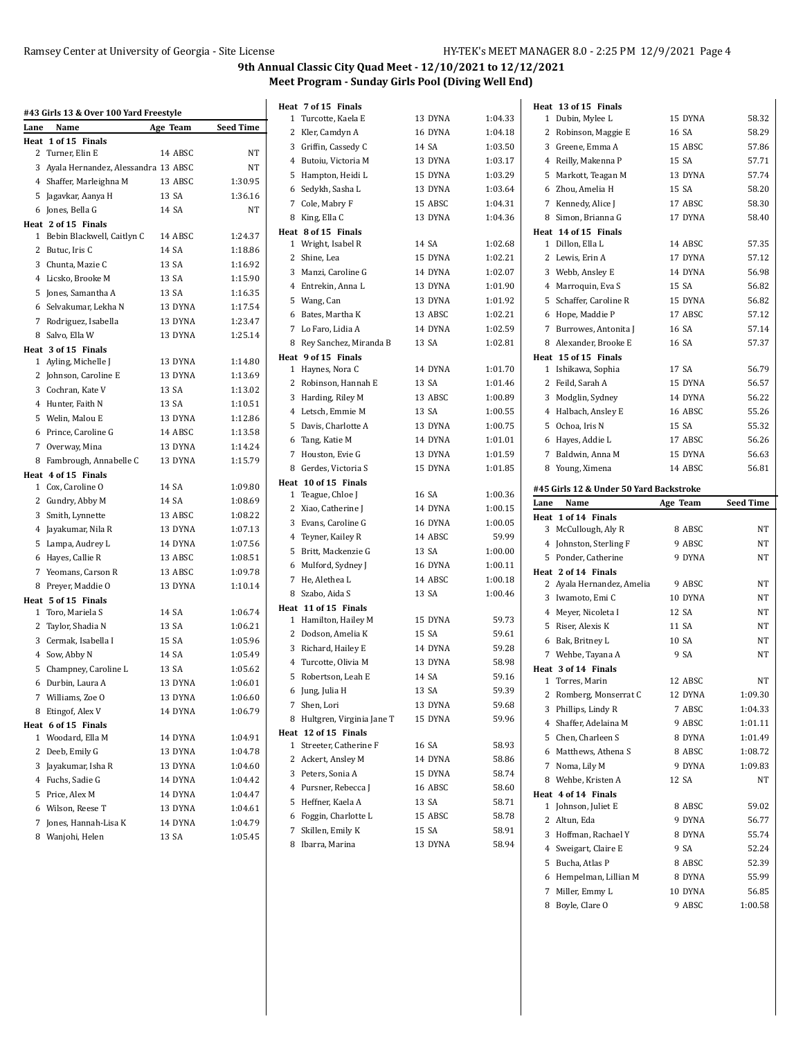| Lane | #43 Girls 13 & Over 100 Yard Freestyle<br>Name | Age Team           | Seed Time          | 1 Turcotte, Kaela E         | 13 DYNA | 1:04.33 | $1 \Gamma$     |
|------|------------------------------------------------|--------------------|--------------------|-----------------------------|---------|---------|----------------|
|      | Heat 1 of 15 Finals                            |                    |                    | 2 Kler, Camdyn A            | 16 DYNA | 1:04.18 | 2F             |
|      | 2 Turner, Elin E                               | 14 ABSC            | NT                 | 3 Griffin, Cassedy C        | 14 SA   | 1:03.50 | 3 G            |
|      | 3 Ayala Hernandez, Alessandra 13 ABSC          |                    | NT                 | 4 Butoiu, Victoria M        | 13 DYNA | 1:03.17 | 4 R            |
|      | 4 Shaffer, Marleighna M                        | 13 ABSC            | 1:30.95            | 5 Hampton, Heidi L          | 15 DYNA | 1:03.29 | 5 N            |
|      | 5 Jagavkar, Aanya H                            | 13 SA              | 1:36.16            | 6 Sedykh, Sasha L           | 13 DYNA | 1:03.64 | 6 Z            |
|      | 6 Jones, Bella G                               | 14 SA              | NT                 | 7 Cole, Mabry F             | 15 ABSC | 1:04.31 | 7 K            |
|      | Heat 2 of 15 Finals                            |                    |                    | 8 King, Ella C              | 13 DYNA | 1:04.36 | 8 S            |
|      | 1 Bebin Blackwell, Caitlyn C                   | 14 ABSC            | 1:24.37            | Heat 8 of 15 Finals         |         |         | Heat :         |
|      | 2 Butuc, Iris C                                | 14 SA              | 1:18.86            | 1 Wright, Isabel R          | 14 SA   | 1:02.68 | 1 <sub>L</sub> |
|      | 3 Chunta, Mazie C                              | 13 SA              | 1:16.92            | 2 Shine, Lea                | 15 DYNA | 1:02.21 | 2L             |
|      | 4 Licsko, Brooke M                             | 13 SA              | 1:15.90            | 3 Manzi, Caroline G         | 14 DYNA | 1:02.07 | 3 V            |
|      | 5 Jones, Samantha A                            | 13 SA              | 1:16.35            | 4 Entrekin, Anna L          | 13 DYNA | 1:01.90 | 4 N            |
|      | 6 Selvakumar, Lekha N                          | 13 DYNA            | 1:17.54            | 5 Wang, Can                 | 13 DYNA | 1:01.92 | 5S             |
|      | 7 Rodriguez, Isabella                          | 13 DYNA            | 1:23.47            | 6 Bates, Martha K           | 13 ABSC | 1:02.21 | 6 F            |
|      | 8 Salvo, Ella W                                | 13 DYNA            | 1:25.14            | 7 Lo Faro, Lidia A          | 14 DYNA | 1:02.59 | 7 E            |
|      | Heat 3 of 15 Finals                            |                    |                    | 8 Rey Sanchez, Miranda B    | 13 SA   | 1:02.81 | 8 A            |
|      | 1 Ayling, Michelle J                           | 13 DYNA            | 1:14.80            | Heat 9 of 15 Finals         |         |         | Heat :         |
|      | 2 Johnson, Caroline E                          | 13 DYNA            | 1:13.69            | 1 Haynes, Nora C            | 14 DYNA | 1:01.70 | 1 <sub>h</sub> |
|      | 3 Cochran, Kate V                              | 13 SA              | 1:13.02            | 2 Robinson, Hannah E        | 13 SA   | 1:01.46 | 2 F            |
|      | 4 Hunter, Faith N                              | 13 SA              | 1:10.51            | 3 Harding, Riley M          | 13 ABSC | 1:00.89 | 3 N            |
|      | 5 Welin, Malou E                               | 13 DYNA            | 1:12.86            | 4 Letsch, Emmie M           | 13 SA   | 1:00.55 | 4 F            |
|      | 6 Prince, Caroline G                           | 14 ABSC            | 1:13.58            | 5 Davis, Charlotte A        | 13 DYNA | 1:00.75 | 5 C            |
|      | 7 Overway, Mina                                | 13 DYNA            | 1:14.24            | 6 Tang, Katie M             | 14 DYNA | 1:01.01 | 6 F            |
|      | 8 Fambrough, Annabelle C                       | 13 DYNA            | 1:15.79            | 7 Houston, Evie G           | 13 DYNA | 1:01.59 | 7 E            |
|      | Heat 4 of 15 Finals                            |                    |                    | 8 Gerdes, Victoria S        | 15 DYNA | 1:01.85 | 8 Y            |
|      | 1 Cox, Caroline O                              | 14 SA              | 1:09.80            | Heat 10 of 15 Finals        |         |         | #45 Gi         |
|      | 2 Gundry, Abby M                               | 14 SA              | 1:08.69            | 1 Teague, Chloe J           | 16 SA   | 1:00.36 | Lane           |
|      | 3 Smith, Lynnette                              | 13 ABSC            | 1:08.22            | 2 Xiao, Catherine J         | 14 DYNA | 1:00.15 | Heat :         |
|      | 4 Jayakumar, Nila R                            | 13 DYNA            | 1:07.13            | 3 Evans, Caroline G         | 16 DYNA | 1:00.05 | 3 N            |
|      | 5 Lampa, Audrey L                              | 14 DYNA            | 1:07.56            | 4 Teyner, Kailey R          | 14 ABSC | 59.99   | 4 J            |
|      | 6 Hayes, Callie R                              | 13 ABSC            | 1:08.51            | 5 Britt, Mackenzie G        | 13 SA   | 1:00.00 | 5 P            |
|      | 7 Yeomans, Carson R                            | 13 ABSC            | 1:09.78            | 6 Mulford, Sydney J         | 16 DYNA | 1:00.11 | Heat 2         |
|      | 8 Preyer, Maddie O                             | 13 DYNA            | 1:10.14            | 7 He, Alethea L             | 14 ABSC | 1:00.18 | 2 A            |
|      | Heat 5 of 15 Finals                            |                    |                    | 8 Szabo, Aida S             | 13 SA   | 1:00.46 | 3 F            |
|      | 1 Toro, Mariela S                              | 14 SA              | 1:06.74            | Heat 11 of 15 Finals        |         |         | 4 N            |
|      | 2 Taylor, Shadia N                             | 13 SA              | 1:06.21            | 1 Hamilton, Hailey M        | 15 DYNA | 59.73   | 5 R            |
|      | 3 Cermak, Isabella I                           | 15 SA              | 1:05.96            | 2 Dodson, Amelia K          | 15 SA   | 59.61   | 6 E            |
|      | 4 Sow, Abby N                                  | 14 SA              | 1:05.49            | 3 Richard, Hailey E         | 14 DYNA | 59.28   | 7 V            |
|      | 5 Champney, Caroline L                         | 13 SA              | 1:05.62            | 4 Turcotte, Olivia M        | 13 DYNA | 58.98   | Heat:          |
|      | 6 Durbin, Laura A                              | 13 DYNA            | 1:06.01            | 5 Robertson, Leah E         | 14 SA   | 59.16   | 1 T            |
|      |                                                |                    |                    | 6 Jung, Julia H             | 13 SA   | 59.39   | 2 R            |
|      | 7 Williams, Zoe O<br>8 Etingof, Alex V         | 13 DYNA<br>14 DYNA | 1:06.60<br>1:06.79 | 7 Shen, Lori                | 13 DYNA | 59.68   | 3 P            |
|      | Heat 6 of 15 Finals                            |                    |                    | 8 Hultgren, Virginia Jane T | 15 DYNA | 59.96   | 4 S            |
|      | 1 Woodard, Ella M                              | 14 DYNA            | 1:04.91            | Heat 12 of 15 Finals        |         |         | 5 C            |
|      | 2 Deeb, Emily G                                | 13 DYNA            | 1:04.78            | 1 Streeter, Catherine F     | 16 SA   | 58.93   | 6 N            |
| 3    | Jayakumar, Isha R                              | 13 DYNA            | 1:04.60            | 2 Ackert, Ansley M          | 14 DYNA | 58.86   | 7 N            |
|      | 4 Fuchs, Sadie G                               | 14 DYNA            | 1:04.42            | 3 Peters, Sonia A           | 15 DYNA | 58.74   | 8 V            |
|      | 5 Price, Alex M                                |                    |                    | 4 Pursner, Rebecca J        | 16 ABSC | 58.60   |                |
|      |                                                | 14 DYNA            | 1:04.47            | 5 Heffner, Kaela A          | 13 SA   | 58.71   | Heat 4<br>1 J  |
| 6    | Wilson, Reese T                                | 13 DYNA            | 1:04.61            | 6 Foggin, Charlotte L       | 15 ABSC | 58.78   | 2 A            |
|      | 7 Jones, Hannah-Lisa K                         | 14 DYNA            | 1:04.79            | 7 Skillen, Emily K          | 15 SA   | 58.91   | 3 F            |
|      | 8 Wanjohi, Helen                               | 13 SA              | 1:05.45            | 8 Ibarra, Marina            | 13 DYNA | 58.94   | 4 S            |
|      |                                                |                    |                    |                             |         |         | 5 E            |
|      |                                                |                    |                    |                             |         |         |                |

| Heat 13 of 15 Finals                                               |          |                  |
|--------------------------------------------------------------------|----------|------------------|
| Dubin, Mylee L<br>1                                                | 15 DYNA  | 58.32            |
| 2 Robinson, Maggie E                                               | 16 SA    | 58.29            |
| 3 Greene, Emma A                                                   | 15 ABSC  | 57.86            |
| 4 Reilly, Makenna P                                                | 15 SA    | 57.71            |
| 5 Markott, Teagan M                                                | 13 DYNA  | 57.74            |
| 6 Zhou, Amelia H                                                   | 15 SA    | 58.20            |
| 7 Kennedy, Alice J                                                 | 17 ABSC  | 58.30            |
| 8 Simon, Brianna G                                                 | 17 DYNA  | 58.40            |
| Heat 14 of 15 Finals                                               |          |                  |
| 1 Dillon, Ella L                                                   | 14 ABSC  | 57.35            |
| 2 Lewis, Erin A                                                    | 17 DYNA  | 57.12            |
| 3 Webb, Ansley E                                                   | 14 DYNA  | 56.98            |
| 4 Marroquin, Eva S                                                 | 15 SA    | 56.82            |
| 5 Schaffer, Caroline R                                             | 15 DYNA  | 56.82            |
| 6 Hope, Maddie P                                                   | 17 ABSC  | 57.12            |
| 7 Burrowes, Antonita J                                             | 16 SA    | 57.14            |
| 8 Alexander, Brooke E                                              | 16 SA    | 57.37            |
| Heat 15 of 15 Finals                                               |          |                  |
| 1 Ishikawa, Sophia                                                 | 17 SA    | 56.79            |
| 2 Feild, Sarah A                                                   | 15 DYNA  | 56.57            |
| 3 Modglin, Sydney                                                  | 14 DYNA  | 56.22            |
| 4 Halbach, Ansley E                                                | 16 ABSC  | 55.26            |
| 5 Ochoa, Iris N                                                    | 15 SA    | 55.32            |
| 6 Hayes, Addie L                                                   | 17 ABSC  | 56.26            |
| 7 Baldwin, Anna M                                                  | 15 DYNA  | 56.63            |
| 8 Young, Ximena                                                    | 14 ABSC  | 56.81            |
| #45 Girls 12 & Under 50 Yard Backstroke                            |          |                  |
| Name<br>Lane                                                       | Age Team | <b>Seed Time</b> |
|                                                                    |          |                  |
|                                                                    |          |                  |
| 3 McCullough, Aly R                                                | 8 ABSC   | NΤ               |
| 4 Johnston, Sterling F                                             | 9 ABSC   | NΤ               |
| 5 Ponder, Catherine                                                | 9 DYNA   | NΤ               |
|                                                                    |          |                  |
| 2 Ayala Hernandez, Amelia 9 ABSC                                   |          | NΤ               |
| 3 Iwamoto, Emi C                                                   | 10 DYNA  | NΤ               |
| 4 Meyer, Nicoleta I                                                | 12 SA    | NΤ               |
| 5 Riser, Alexis K                                                  | 11 SA    | NΤ               |
| 6 Bak, Britney L                                                   | 10 SA    | NΤ               |
| 7 Wehbe, Tayana A                                                  | 9 SA     | NΤ               |
|                                                                    |          |                  |
| 1 Torres, Marin                                                    | 12 ABSC  | NΤ               |
| 2 Romberg, Monserrat C                                             | 12 DYNA  | 1:09.30          |
| 3 Phillips, Lindy R                                                | 7 ABSC   | 1:04.33          |
| 4 Shaffer, Adelaina M                                              | 9 ABSC   | 1:01.11          |
| Heat 2 of 14 Finals<br>5 Chen, Charleen S                          | 8 DYNA   | 1:01.49          |
| 6 Matthews, Athena S                                               | 8 ABSC   | 1:08.72          |
| 7 Noma, Lily M                                                     | 9 DYNA   | 1:09.83          |
| 8 Wehbe, Kristen A                                                 | 12 SA    | NΤ               |
| Heat 4 of 14 Finals                                                |          |                  |
| 1 Johnson, Juliet E                                                | 8 ABSC   | 59.02            |
| 2 Altun, Eda                                                       | 9 DYNA   | 56.77            |
| 3 Hoffman, Rachael Y                                               | 8 DYNA   | 55.74            |
| Heat 1 of 14 Finals<br>Heat 3 of 14 Finals<br>4 Sweigart, Claire E | 9 SA     | 52.24            |
| 5 Bucha, Atlas P                                                   | 8 ABSC   | 52.39            |
| 6 Hempelman, Lillian M                                             | 8 DYNA   | 55.99            |
| 7<br>Miller, Emmy L                                                | 10 DYNA  | 56.85            |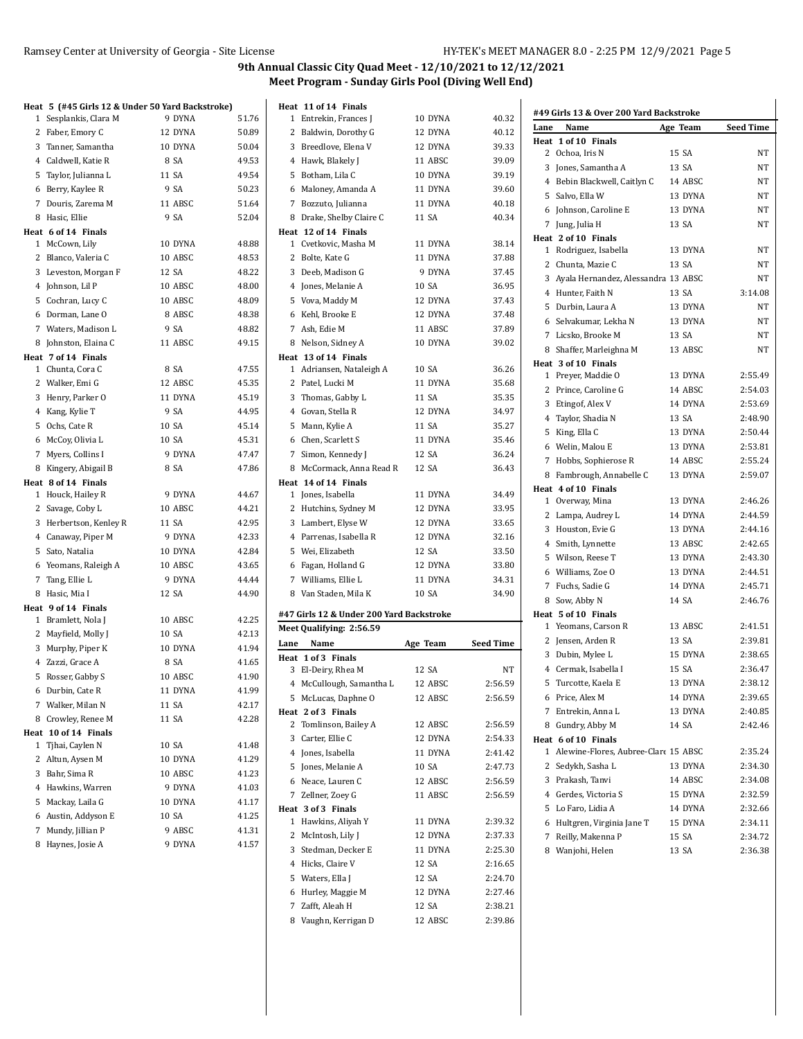$\ddot{\phantom{a}}$ 

## **9th Annual Classic City Quad Meet - 12/10/2021 to 12/12/2021 Meet Program - Sunday Girls Pool (Diving Well End)**

| Heat 5 (#45 Girls 12 & Under 50 Yard Backstroke) |         |       | Heat 11 of 14 Finals                     |          |                  |      | #49 Girls 13 & Over 200 Yard Backstroke      |          |                  |
|--------------------------------------------------|---------|-------|------------------------------------------|----------|------------------|------|----------------------------------------------|----------|------------------|
| 1 Sesplankis, Clara M                            | 9 DYNA  | 51.76 | 1 Entrekin, Frances J                    | 10 DYNA  | 40.32            | Lane | Name                                         |          | <b>Seed Time</b> |
| 2 Faber, Emory C                                 | 12 DYNA | 50.89 | 2 Baldwin, Dorothy G                     | 12 DYNA  | 40.12            |      | Heat 1 of 10 Finals                          | Age Team |                  |
| 3 Tanner, Samantha                               | 10 DYNA | 50.04 | 3 Breedlove, Elena V                     | 12 DYNA  | 39.33            |      | 2 Ochoa, Iris N                              | 15 SA    | NT               |
| 4 Caldwell, Katie R                              | 8 SA    | 49.53 | 4 Hawk, Blakely J                        | 11 ABSC  | 39.09            |      | 3 Jones, Samantha A                          | 13 SA    | NT               |
| 5 Taylor, Julianna L                             | 11 SA   | 49.54 | 5 Botham, Lila C                         | 10 DYNA  | 39.19            |      | 4 Bebin Blackwell, Caitlyn C                 | 14 ABSC  | NT               |
| 6 Berry, Kaylee R                                | 9 SA    | 50.23 | 6 Maloney, Amanda A                      | 11 DYNA  | 39.60            |      | 5 Salvo, Ella W                              | 13 DYNA  | NT               |
| 7 Douris, Zarema M                               | 11 ABSC | 51.64 | 7 Bozzuto, Julianna                      | 11 DYNA  | 40.18            |      |                                              |          |                  |
| 8 Hasic, Ellie                                   | 9 SA    | 52.04 | 8 Drake, Shelby Claire C                 | 11 SA    | 40.34            |      | 6 Johnson, Caroline E                        | 13 DYNA  | NT               |
| Heat 6 of 14 Finals                              |         |       | Heat 12 of 14 Finals                     |          |                  |      | 7 Jung, Julia H                              | 13 SA    | NT               |
| 1 McCown, Lily                                   | 10 DYNA | 48.88 | 1 Cvetkovic, Masha M                     | 11 DYNA  | 38.14            |      | Heat 2 of 10 Finals<br>1 Rodriguez, Isabella | 13 DYNA  | NT               |
| 2 Blanco, Valeria C                              | 10 ABSC | 48.53 | 2 Bolte, Kate G                          | 11 DYNA  | 37.88            |      |                                              | 13 SA    |                  |
| 3 Leveston, Morgan F                             | 12 SA   | 48.22 | 3 Deeb, Madison G                        | 9 DYNA   | 37.45            |      | 2 Chunta, Mazie C                            |          | NT               |
| 4 Johnson, Lil P                                 | 10 ABSC | 48.00 | 4 Jones, Melanie A                       | 10 SA    | 36.95            |      | 3 Ayala Hernandez, Alessandra 13 ABSC        |          | $\rm{NT}$        |
| 5 Cochran, Lucy C                                | 10 ABSC | 48.09 | 5 Vova, Maddy M                          | 12 DYNA  | 37.43            |      | 4 Hunter, Faith N                            | 13 SA    | 3:14.08          |
| 6 Dorman, Lane O                                 | 8 ABSC  | 48.38 | 6 Kehl, Brooke E                         | 12 DYNA  | 37.48            |      | 5 Durbin, Laura A                            | 13 DYNA  | NT               |
| 7 Waters, Madison L                              | 9 SA    | 48.82 | 7 Ash, Edie M                            | 11 ABSC  | 37.89            |      | 6 Selvakumar, Lekha N                        | 13 DYNA  | NT               |
| 8 Johnston, Elaina C                             | 11 ABSC | 49.15 | 8 Nelson, Sidney A                       | 10 DYNA  | 39.02            |      | 7 Licsko, Brooke M                           | 13 SA    | NT               |
| Heat 7 of 14 Finals                              |         |       | Heat 13 of 14 Finals                     |          |                  |      | 8 Shaffer, Marleighna M                      | 13 ABSC  | <b>NT</b>        |
| 1 Chunta, Cora C                                 | 8 SA    | 47.55 | 1 Adriansen, Nataleigh A                 | 10 SA    | 36.26            |      | Heat 3 of 10 Finals                          |          |                  |
| 2 Walker, Emi G                                  | 12 ABSC | 45.35 | 2 Patel, Lucki M                         | 11 DYNA  | 35.68            |      | 1 Preyer, Maddie O                           | 13 DYNA  | 2:55.49          |
| 3 Henry, Parker O                                | 11 DYNA | 45.19 | 3 Thomas, Gabby L                        | 11 SA    | 35.35            |      | 2 Prince, Caroline G                         | 14 ABSC  | 2:54.03          |
| 4 Kang, Kylie T                                  | 9 SA    | 44.95 | 4 Govan, Stella R                        | 12 DYNA  | 34.97            |      | 3 Etingof, Alex V                            | 14 DYNA  | 2:53.69          |
| 5 Ochs, Cate R                                   | 10 SA   | 45.14 | 5 Mann, Kylie A                          | 11 SA    | 35.27            |      | 4 Taylor, Shadia N                           | 13 SA    | 2:48.90          |
| 6 McCoy, Olivia L                                | 10 SA   | 45.31 | 6 Chen, Scarlett S                       | 11 DYNA  | 35.46            |      | 5 King, Ella C                               | 13 DYNA  | 2:50.44          |
| 7 Myers, Collins I                               | 9 DYNA  | 47.47 | 7 Simon, Kennedy J                       | 12 SA    | 36.24            |      | 6 Welin, Malou E                             | 13 DYNA  | 2:53.81          |
| 8 Kingery, Abigail B                             | 8 SA    | 47.86 | 8 McCormack, Anna Read R                 | 12 SA    | 36.43            |      | 7 Hobbs, Sophierose R                        | 14 ABSC  | 2:55.24          |
| Heat 8 of 14 Finals                              |         |       | Heat 14 of 14 Finals                     |          |                  |      | 8 Fambrough, Annabelle C                     | 13 DYNA  | 2:59.07          |
| 1 Houck, Hailey R                                | 9 DYNA  | 44.67 | 1 Jones, Isabella                        | 11 DYNA  | 34.49            |      | Heat 4 of 10 Finals                          |          |                  |
| 2 Savage, Coby L                                 | 10 ABSC | 44.21 | 2 Hutchins, Sydney M                     | 12 DYNA  | 33.95            |      | 1 Overway, Mina                              | 13 DYNA  | 2:46.26          |
| 3 Herbertson, Kenley R                           | 11 SA   | 42.95 | 3 Lambert, Elyse W                       | 12 DYNA  | 33.65            |      | 2 Lampa, Audrey L                            | 14 DYNA  | 2:44.59          |
| 4 Canaway, Piper M                               | 9 DYNA  | 42.33 | 4 Parrenas, Isabella R                   | 12 DYNA  | 32.16            |      | 3 Houston, Evie G                            | 13 DYNA  | 2:44.16          |
| 5 Sato, Natalia                                  | 10 DYNA | 42.84 | 5 Wei, Elizabeth                         | 12 SA    | 33.50            |      | 4 Smith, Lynnette                            | 13 ABSC  | 2:42.65          |
| 6 Yeomans, Raleigh A                             | 10 ABSC | 43.65 | 6 Fagan, Holland G                       | 12 DYNA  | 33.80            |      | 5 Wilson, Reese T                            | 13 DYNA  | 2:43.30          |
| 7 Tang, Ellie L                                  | 9 DYNA  | 44.44 | 7 Williams, Ellie L                      | 11 DYNA  | 34.31            |      | 6 Williams, Zoe O                            | 13 DYNA  | 2:44.51          |
| 8 Hasic, Mia I                                   | 12 SA   | 44.90 | 8 Van Staden, Mila K                     | 10 SA    | 34.90            |      | 7 Fuchs, Sadie G                             | 14 DYNA  | 2:45.71          |
| Heat 9 of 14 Finals                              |         |       |                                          |          |                  |      | 8 Sow, Abby N                                | 14 SA    | 2:46.76          |
| 1 Bramlett, Nola J                               | 10 ABSC | 42.25 | #47 Girls 12 & Under 200 Yard Backstroke |          |                  |      | Heat 5 of 10 Finals                          |          |                  |
| 2 Mayfield, Molly J                              | 10 SA   | 42.13 | Meet Qualifying: 2:56.59                 |          |                  |      | 1 Yeomans, Carson R                          | 13 ABSC  | 2:41.51          |
| 3 Murphy, Piper K                                | 10 DYNA | 41.94 | Lane Name                                | Age Team | <b>Seed Time</b> |      | 2 Jensen, Arden R                            | 13 SA    | 2:39.81          |
| 4 Zazzi, Grace A                                 | 8 SA    | 41.65 | Heat 1 of 3 Finals                       |          |                  |      | 3 Dubin, Mylee L                             | 15 DYNA  | 2:38.65          |
| 5 Rosser, Gabby S                                | 10 ABSC | 41.90 | 3 El-Deiry, Rhea M                       | 12 SA    | NΤ               |      | 4 Cermak, Isabella I                         | 15 SA    | 2:36.47          |
| 6 Durbin, Cate R                                 | 11 DYNA | 41.99 | 4 McCullough, Samantha L                 | 12 ABSC  | 2:56.59          |      | 5 Turcotte, Kaela E                          | 13 DYNA  | 2:38.12          |
|                                                  |         |       | 5 McLucas, Daphne O                      | 12 ABSC  | 2:56.59          |      | 6 Price, Alex M                              | 14 DYNA  | 2:39.65          |
| 7 Walker, Milan N                                | 11 SA   | 42.17 | Heat 2 of 3 Finals                       |          |                  |      | 7 Entrekin, Anna L                           | 13 DYNA  | 2:40.85          |
| 8 Crowley, Renee M                               | 11 SA   | 42.28 | 2 Tomlinson, Bailey A                    | 12 ABSC  | 2:56.59          |      | 8 Gundry, Abby M                             | 14 SA    | 2:42.46          |
| Heat 10 of 14 Finals                             |         |       | 3 Carter, Ellie C                        | 12 DYNA  | 2:54.33          |      | Heat 6 of 10 Finals                          |          |                  |
| 1 Tjhai, Caylen N                                | 10 SA   | 41.48 | 4 Jones, Isabella                        | 11 DYNA  | 2:41.42          |      | 1 Alewine-Flores, Aubree-Clare 15 ABSC       |          | 2:35.24          |
| 2 Altun, Aysen M                                 | 10 DYNA | 41.29 | 5 Jones, Melanie A                       | 10 SA    | 2:47.73          |      | 2 Sedykh, Sasha L                            | 13 DYNA  | 2:34.30          |
| 3 Bahr, Sima R                                   | 10 ABSC | 41.23 | 6 Neace, Lauren C                        | 12 ABSC  | 2:56.59          |      | 3 Prakash, Tanvi                             | 14 ABSC  | 2:34.08          |
| 4 Hawkins, Warren                                | 9 DYNA  | 41.03 | 7 Zellner, Zoey G                        | 11 ABSC  | 2:56.59          |      | 4 Gerdes, Victoria S                         | 15 DYNA  | 2:32.59          |
| 5 Mackay, Laila G                                | 10 DYNA | 41.17 | Heat 3 of 3 Finals                       |          |                  |      | 5 Lo Faro, Lidia A                           | 14 DYNA  | 2:32.66          |
| 6 Austin, Addyson E                              | 10 SA   | 41.25 | 1 Hawkins, Aliyah Y                      | 11 DYNA  | 2:39.32          |      | 6 Hultgren, Virginia Jane T                  | 15 DYNA  | 2:34.11          |
| 7 Mundy, Jillian P                               | 9 ABSC  | 41.31 | 2 McIntosh, Lily J                       | 12 DYNA  | 2.37.33          |      | 7 Reilly, Makenna P                          | 15 SA    | 2:34.72          |
| 8 Haynes, Josie A                                | 9 DYNA  | 41.57 | 3 Stedman, Decker E                      | 11 DYNA  | 2.25.30          |      | 8 Wanjohi, Helen                             | 13 SA    | 2:36.38          |
|                                                  |         |       | 4 Hicks, Claire V                        | 12 SA    | 2:16.65          |      |                                              |          |                  |

5 Waters, Ella J 12 SA 2:24.70 Hurley, Maggie M 12 DYNA 2:27.46 Zafft, Aleah H 12 SA 2:38.21 8 Vaughn, Kerrigan D 12 ABSC 2:39.86